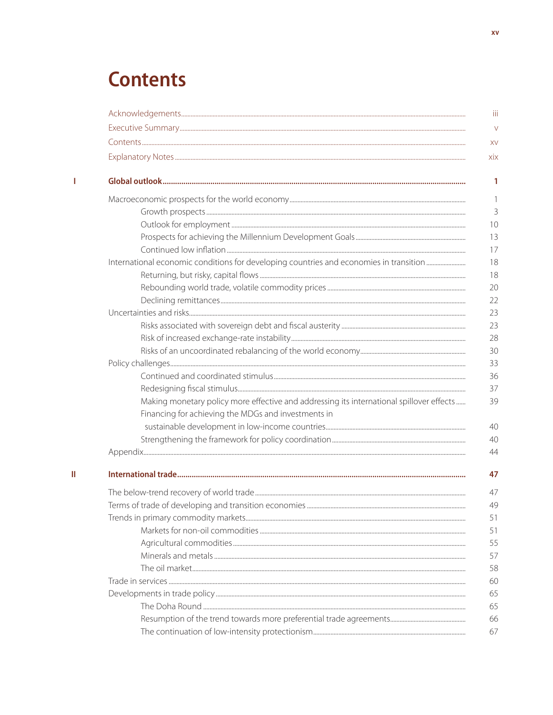# **Contents**

 $\mathbf{1}$ 

 $\bar{\rm H}$ 

| Making monetary policy more effective and addressing its international spillover effects |
|------------------------------------------------------------------------------------------|
| Financing for achieving the MDGs and investments in                                      |
|                                                                                          |
|                                                                                          |
|                                                                                          |
|                                                                                          |
|                                                                                          |
|                                                                                          |
|                                                                                          |
|                                                                                          |
|                                                                                          |
|                                                                                          |
|                                                                                          |
|                                                                                          |
|                                                                                          |
|                                                                                          |
|                                                                                          |
|                                                                                          |
|                                                                                          |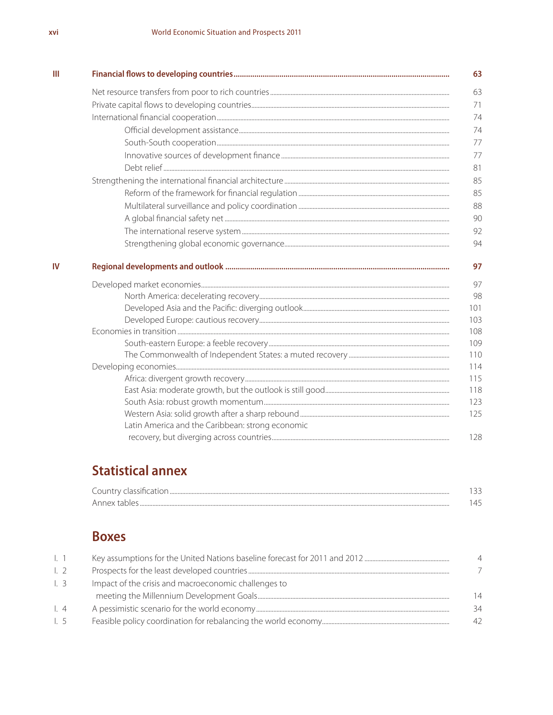| Ш  |                                                  |
|----|--------------------------------------------------|
|    |                                                  |
|    |                                                  |
|    |                                                  |
|    |                                                  |
|    |                                                  |
|    |                                                  |
|    |                                                  |
|    |                                                  |
|    |                                                  |
|    |                                                  |
|    |                                                  |
|    |                                                  |
|    |                                                  |
| IV |                                                  |
|    |                                                  |
|    |                                                  |
|    |                                                  |
|    |                                                  |
|    |                                                  |
|    |                                                  |
|    |                                                  |
|    |                                                  |
|    |                                                  |
|    |                                                  |
|    |                                                  |
|    |                                                  |
|    | Latin America and the Caribbean: strong economic |
|    |                                                  |

## **Statistical annex**

| alogaith agu<br>. ountr<br>       |   |
|-----------------------------------|---|
| Annav<br>$\overline{\phantom{a}}$ | ᅭ |

#### **Boxes**

| $\lfloor$ . 1       |                                                      |    |
|---------------------|------------------------------------------------------|----|
| $\lfloor 2 \rfloor$ |                                                      |    |
| $\lfloor$ 3         | Impact of the crisis and macroeconomic challenges to |    |
|                     |                                                      | 14 |
| $\lfloor$ . 4       |                                                      | 34 |
| $\lfloor 5 \rfloor$ |                                                      | 42 |
|                     |                                                      |    |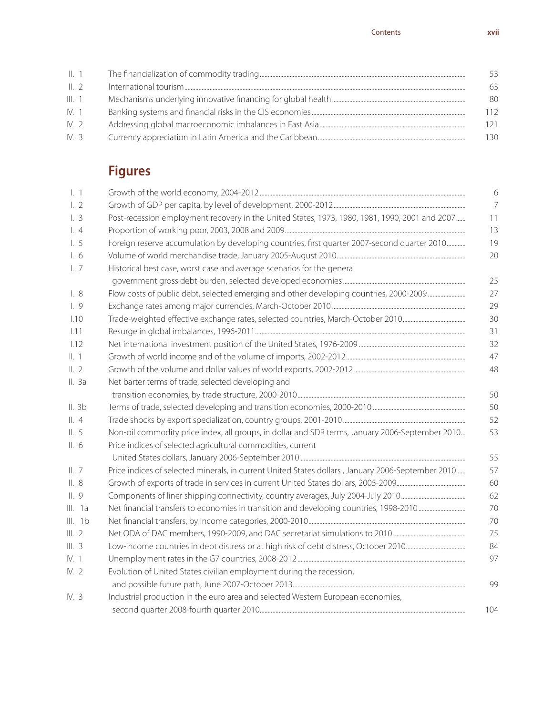| $\parallel$ , 1 |                                                                                                         | 53  |
|-----------------|---------------------------------------------------------------------------------------------------------|-----|
| $\parallel$ , 2 | $Intermational\ tourism. \label{prop:non-convex} {\bf International\ tourism.} \label{prop:non-convex}$ | 63  |
| III. 1          |                                                                                                         | 80  |
| IV. 1           |                                                                                                         | 112 |
| IV.2            |                                                                                                         | 121 |
| IV. $3$         |                                                                                                         | 130 |

## **Figures**

| $\lfloor$ . 1       |                                                                                                   |
|---------------------|---------------------------------------------------------------------------------------------------|
| 1.2                 |                                                                                                   |
| $\lfloor$ 3         | Post-recession employment recovery in the United States, 1973, 1980, 1981, 1990, 2001 and 2007    |
| $\lfloor 4 \rfloor$ |                                                                                                   |
| 1.5                 | Foreign reserve accumulation by developing countries, first quarter 2007-second quarter 2010      |
| $\frac{1}{6}$       |                                                                                                   |
| $\lfloor$ . 7       | Historical best case, worst case and average scenarios for the general                            |
|                     |                                                                                                   |
| $\lfloor 8 \rfloor$ | Flow costs of public debt, selected emerging and other developing countries, 2000-2009            |
| 1.9                 |                                                                                                   |
| 1.10                |                                                                                                   |
| 1.11                |                                                                                                   |
| 1.12                |                                                                                                   |
| II. 1               |                                                                                                   |
| II.2                |                                                                                                   |
| II. 3a              | Net barter terms of trade, selected developing and                                                |
|                     |                                                                                                   |
| II. 3b              |                                                                                                   |
| $\parallel$ , 4     |                                                                                                   |
| II.5                | Non-oil commodity price index, all groups, in dollar and SDR terms, January 2006-September 2010   |
| II.6                | Price indices of selected agricultural commodities, current                                       |
|                     |                                                                                                   |
| II.7                | Price indices of selected minerals, in current United States dollars, January 2006-September 2010 |
| II.8                |                                                                                                   |
| II.9                |                                                                                                   |
| III. 1a             |                                                                                                   |
| III. 1b             |                                                                                                   |
| III.2               |                                                                                                   |
| III.3               |                                                                                                   |
| IV. 1               |                                                                                                   |
| IV.2                | Evolution of United States civilian employment during the recession,                              |
|                     |                                                                                                   |
| IV.3                | Industrial production in the euro area and selected Western European economies,                   |
|                     |                                                                                                   |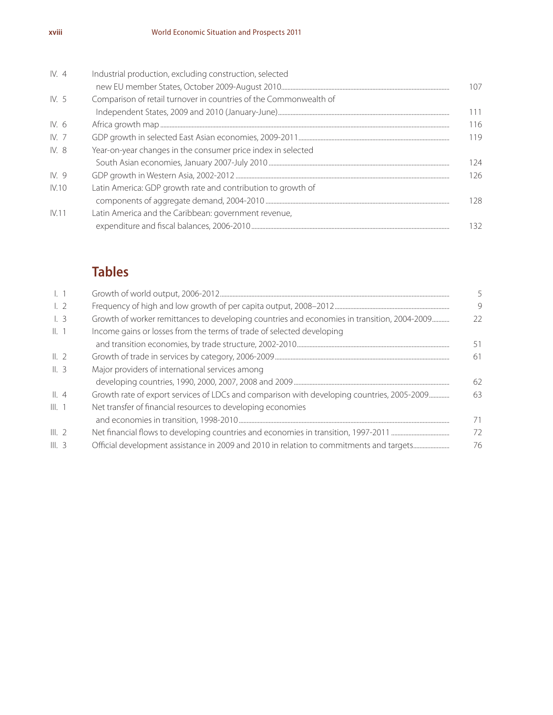| IV.4            | Industrial production, excluding construction, selected           |      |
|-----------------|-------------------------------------------------------------------|------|
|                 |                                                                   | 107. |
| IV.5            | Comparison of retail turnover in countries of the Commonwealth of |      |
|                 |                                                                   | 11   |
| IV. 6           |                                                                   | 116  |
| IV <sub>7</sub> |                                                                   | 119  |
| IV. 8           | Year-on-year changes in the consumer price index in selected      |      |
|                 |                                                                   | 124  |
| IV. 9           |                                                                   | 126  |
| <b>IV.10</b>    | Latin America: GDP growth rate and contribution to growth of      |      |
|                 |                                                                   | 128  |
| IV.11           | Latin America and the Caribbean: government revenue,              |      |
|                 |                                                                   | 32   |
|                 |                                                                   |      |

### **Tables**

| 9<br>22<br>51 |
|---------------|
|               |
|               |
|               |
|               |
| 61            |
|               |
| 62            |
| 63            |
|               |
| 71            |
| 72            |
| 76            |
|               |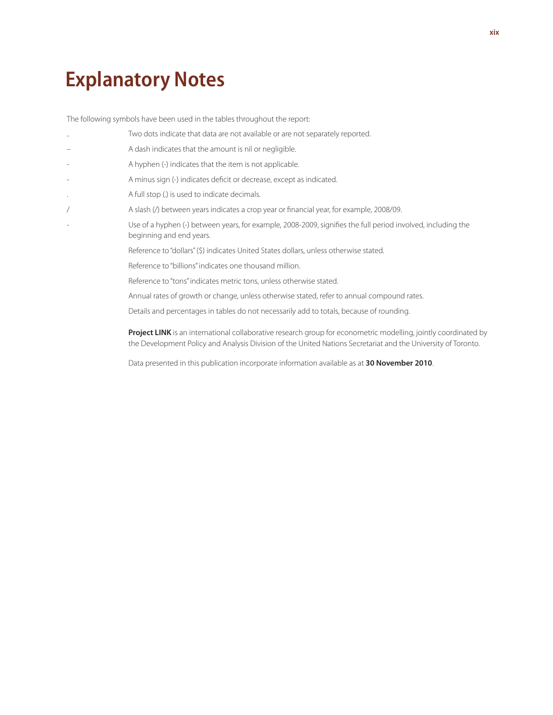# **Explanatory Notes**

The following symbols have been used in the tables throughout the report:

| $\ddotsc$ | Two dots indicate that data are not available or are not separately reported.                                                            |
|-----------|------------------------------------------------------------------------------------------------------------------------------------------|
|           | A dash indicates that the amount is nil or negligible.                                                                                   |
|           | A hyphen (-) indicates that the item is not applicable.                                                                                  |
|           | A minus sign (-) indicates deficit or decrease, except as indicated.                                                                     |
| $\bullet$ | A full stop (.) is used to indicate decimals.                                                                                            |
|           | A slash (/) between years indicates a crop year or financial year, for example, 2008/09.                                                 |
|           | Use of a hyphen (-) between years, for example, 2008-2009, signifies the full period involved, including the<br>beginning and end years. |
|           | Reference to "dollars" (\$) indicates United States dollars, unless otherwise stated.                                                    |
|           | Reference to "billions" indicates one thousand million.                                                                                  |
|           | Reference to "tons" indicates metric tons, unless otherwise stated.                                                                      |
|           | Annual rates of growth or change, unless otherwise stated, refer to annual compound rates.                                               |
|           |                                                                                                                                          |

Details and percentages in tables do not necessarily add to totals, because of rounding.

Project LINK is an international collaborative research group for econometric modelling, jointly coordinated by the Development Policy and Analysis Division of the United Nations Secretariat and the University of Toronto.

Data presented in this publication incorporate information available as at **30 November 2010**.